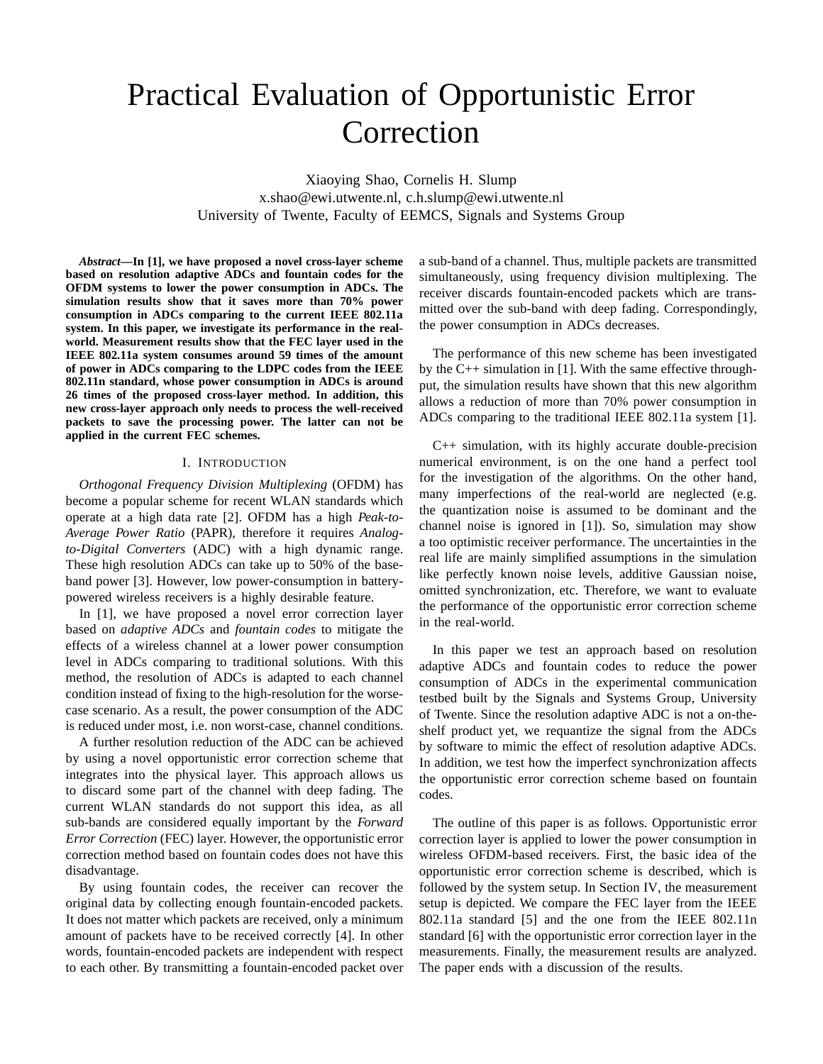# Practical Evaluation of Opportunistic Error Correction

Xiaoying Shao, Cornelis H. Slump x.shao@ewi.utwente.nl, c.h.slump@ewi.utwente.nl University of Twente, Faculty of EEMCS, Signals and Systems Group

*Abstract***—In [1], we have proposed a novel cross-layer scheme based on resolution adaptive ADCs and fountain codes for the OFDM systems to lower the power consumption in ADCs. The simulation results show that it saves more than 70% power consumption in ADCs comparing to the current IEEE 802.11a system. In this paper, we investigate its performance in the realworld. Measurement results show that the FEC layer used in the IEEE 802.11a system consumes around 59 times of the amount of power in ADCs comparing to the LDPC codes from the IEEE 802.11n standard, whose power consumption in ADCs is around 26 times of the proposed cross-layer method. In addition, this new cross-layer approach only needs to process the well-received packets to save the processing power. The latter can not be applied in the current FEC schemes.**

## I. INTRODUCTION

*Orthogonal Frequency Division Multiplexing* (OFDM) has become a popular scheme for recent WLAN standards which operate at a high data rate [2]. OFDM has a high *Peak-to-Average Power Ratio* (PAPR), therefore it requires *Analogto-Digital Converters* (ADC) with a high dynamic range. These high resolution ADCs can take up to 50% of the baseband power [3]. However, low power-consumption in batterypowered wireless receivers is a highly desirable feature.

In [1], we have proposed a novel error correction layer based on *adaptive ADCs* and *fountain codes* to mitigate the effects of a wireless channel at a lower power consumption level in ADCs comparing to traditional solutions. With this method, the resolution of ADCs is adapted to each channel condition instead of fixing to the high-resolution for the worsecase scenario. As a result, the power consumption of the ADC is reduced under most, i.e. non worst-case, channel conditions.

A further resolution reduction of the ADC can be achieved by using a novel opportunistic error correction scheme that integrates into the physical layer. This approach allows us to discard some part of the channel with deep fading. The current WLAN standards do not support this idea, as all sub-bands are considered equally important by the *Forward Error Correction* (FEC) layer. However, the opportunistic error correction method based on fountain codes does not have this disadvantage.

By using fountain codes, the receiver can recover the original data by collecting enough fountain-encoded packets. It does not matter which packets are received, only a minimum amount of packets have to be received correctly [4]. In other words, fountain-encoded packets are independent with respect to each other. By transmitting a fountain-encoded packet over a sub-band of a channel. Thus, multiple packets are transmitted simultaneously, using frequency division multiplexing. The receiver discards fountain-encoded packets which are transmitted over the sub-band with deep fading. Correspondingly, the power consumption in ADCs decreases.

The performance of this new scheme has been investigated by the C++ simulation in [1]. With the same effective throughput, the simulation results have shown that this new algorithm allows a reduction of more than 70% power consumption in ADCs comparing to the traditional IEEE 802.11a system [1].

C++ simulation, with its highly accurate double-precision numerical environment, is on the one hand a perfect tool for the investigation of the algorithms. On the other hand, many imperfections of the real-world are neglected (e.g. the quantization noise is assumed to be dominant and the channel noise is ignored in [1]). So, simulation may show a too optimistic receiver performance. The uncertainties in the real life are mainly simplified assumptions in the simulation like perfectly known noise levels, additive Gaussian noise, omitted synchronization, etc. Therefore, we want to evaluate the performance of the opportunistic error correction scheme in the real-world.

In this paper we test an approach based on resolution adaptive ADCs and fountain codes to reduce the power consumption of ADCs in the experimental communication testbed built by the Signals and Systems Group, University of Twente. Since the resolution adaptive ADC is not a on-theshelf product yet, we requantize the signal from the ADCs by software to mimic the effect of resolution adaptive ADCs. In addition, we test how the imperfect synchronization affects the opportunistic error correction scheme based on fountain codes.

The outline of this paper is as follows. Opportunistic error correction layer is applied to lower the power consumption in wireless OFDM-based receivers. First, the basic idea of the opportunistic error correction scheme is described, which is followed by the system setup. In Section IV, the measurement setup is depicted. We compare the FEC layer from the IEEE 802.11a standard [5] and the one from the IEEE 802.11n standard [6] with the opportunistic error correction layer in the measurements. Finally, the measurement results are analyzed. The paper ends with a discussion of the results.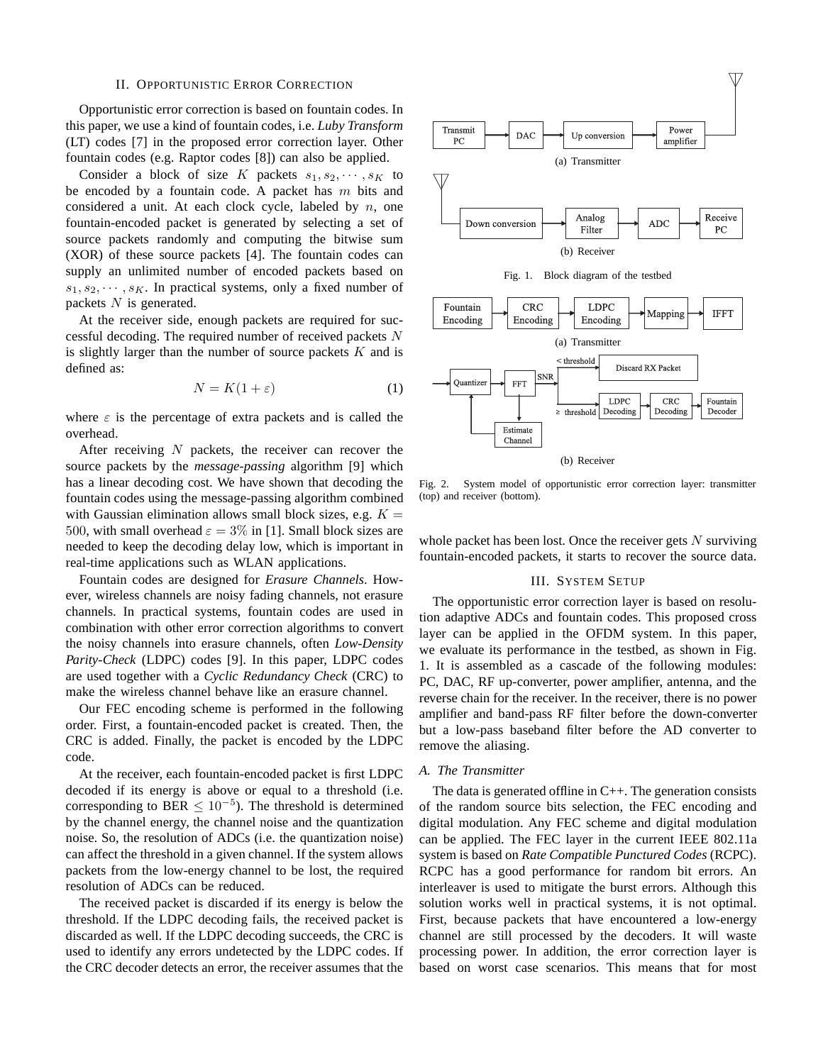#### II. OPPORTUNISTIC ERROR CORRECTION

Opportunistic error correction is based on fountain codes. In this paper, we use a kind of fountain codes, i.e. *Luby Transform* (LT) codes [7] in the proposed error correction layer. Other fountain codes (e.g. Raptor codes [8]) can also be applied.

Consider a block of size K packets  $s_1, s_2, \cdots, s_K$  to be encoded by a fountain code. A packet has  $m$  bits and considered a unit. At each clock cycle, labeled by  $n$ , one fountain-encoded packet is generated by selecting a set of source packets randomly and computing the bitwise sum (XOR) of these source packets [4]. The fountain codes can supply an unlimited number of encoded packets based on  $s_1, s_2, \dots, s_K$ . In practical systems, only a fixed number of packets  $N$  is generated.

At the receiver side, enough packets are required for successful decoding. The required number of received packets N is slightly larger than the number of source packets  $K$  and is defined as:

$$
N = K(1 + \varepsilon) \tag{1}
$$

where  $\varepsilon$  is the percentage of extra packets and is called the overhead.

After receiving  $N$  packets, the receiver can recover the source packets by the *message-passing* algorithm [9] which has a linear decoding cost. We have shown that decoding the fountain codes using the message-passing algorithm combined with Gaussian elimination allows small block sizes, e.g.  $K =$ 500, with small overhead  $\varepsilon = 3\%$  in [1]. Small block sizes are needed to keep the decoding delay low, which is important in real-time applications such as WLAN applications.

Fountain codes are designed for *Erasure Channels*. However, wireless channels are noisy fading channels, not erasure channels. In practical systems, fountain codes are used in combination with other error correction algorithms to convert the noisy channels into erasure channels, often *Low-Density Parity-Check* (LDPC) codes [9]. In this paper, LDPC codes are used together with a *Cyclic Redundancy Check* (CRC) to make the wireless channel behave like an erasure channel.

Our FEC encoding scheme is performed in the following order. First, a fountain-encoded packet is created. Then, the CRC is added. Finally, the packet is encoded by the LDPC code.

At the receiver, each fountain-encoded packet is first LDPC decoded if its energy is above or equal to a threshold (i.e. corresponding to BER  $\leq 10^{-5}$ ). The threshold is determined by the channel energy, the channel noise and the quantization noise. So, the resolution of ADCs (i.e. the quantization noise) can affect the threshold in a given channel. If the system allows packets from the low-energy channel to be lost, the required resolution of ADCs can be reduced.

The received packet is discarded if its energy is below the threshold. If the LDPC decoding fails, the received packet is discarded as well. If the LDPC decoding succeeds, the CRC is used to identify any errors undetected by the LDPC codes. If the CRC decoder detects an error, the receiver assumes that the





Fig. 2. System model of opportunistic error correction layer: transmitter (top) and receiver (bottom).

whole packet has been lost. Once the receiver gets  $N$  surviving fountain-encoded packets, it starts to recover the source data.

### III. SYSTEM SETUP

The opportunistic error correction layer is based on resolution adaptive ADCs and fountain codes. This proposed cross layer can be applied in the OFDM system. In this paper, we evaluate its performance in the testbed, as shown in Fig. 1. It is assembled as a cascade of the following modules: PC, DAC, RF up-converter, power amplifier, antenna, and the reverse chain for the receiver. In the receiver, there is no power amplifier and band-pass RF filter before the down-converter but a low-pass baseband filter before the AD converter to remove the aliasing.

#### *A. The Transmitter*

The data is generated offline in C++. The generation consists of the random source bits selection, the FEC encoding and digital modulation. Any FEC scheme and digital modulation can be applied. The FEC layer in the current IEEE 802.11a system is based on *Rate Compatible Punctured Codes* (RCPC). RCPC has a good performance for random bit errors. An interleaver is used to mitigate the burst errors. Although this solution works well in practical systems, it is not optimal. First, because packets that have encountered a low-energy channel are still processed by the decoders. It will waste processing power. In addition, the error correction layer is based on worst case scenarios. This means that for most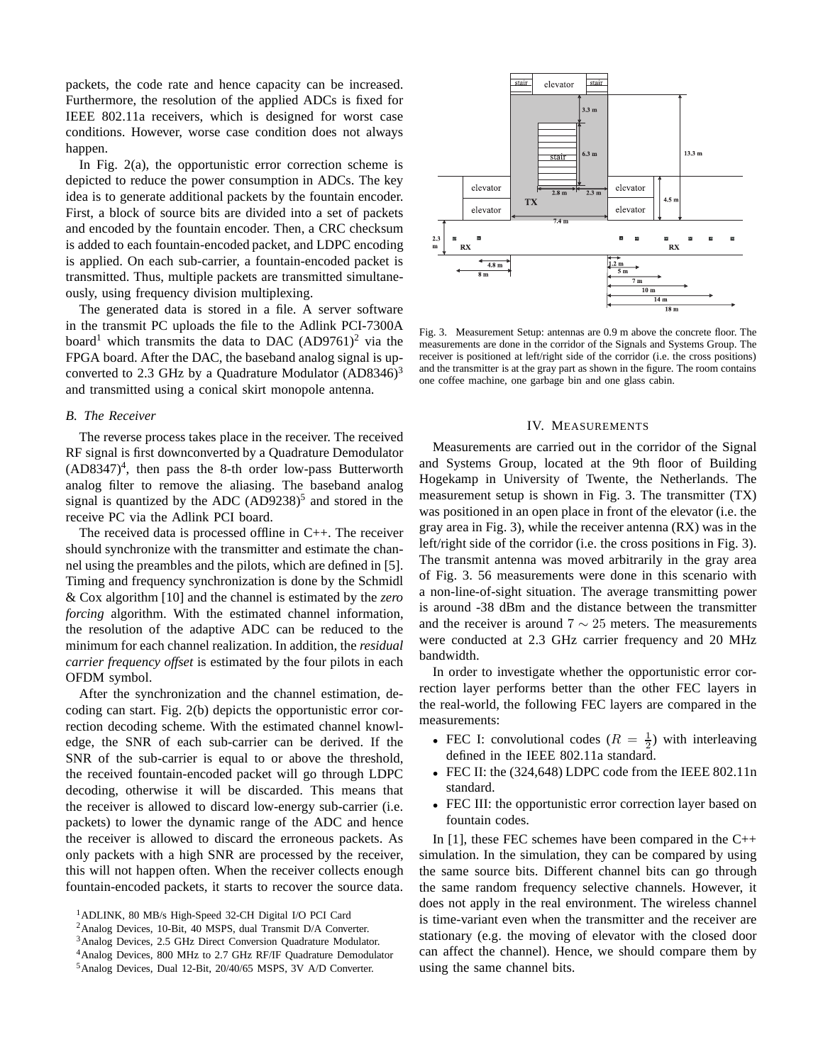packets, the code rate and hence capacity can be increased. Furthermore, the resolution of the applied ADCs is fixed for IEEE 802.11a receivers, which is designed for worst case conditions. However, worse case condition does not always happen.

In Fig.  $2(a)$ , the opportunistic error correction scheme is depicted to reduce the power consumption in ADCs. The key idea is to generate additional packets by the fountain encoder. First, a block of source bits are divided into a set of packets and encoded by the fountain encoder. Then, a CRC checksum is added to each fountain-encoded packet, and LDPC encoding is applied. On each sub-carrier, a fountain-encoded packet is transmitted. Thus, multiple packets are transmitted simultaneously, using frequency division multiplexing.

The generated data is stored in a file. A server software in the transmit PC uploads the file to the Adlink PCI-7300A board<sup>1</sup> which transmits the data to DAC  $(AD9761)^2$  via the FPGA board. After the DAC, the baseband analog signal is upconverted to 2.3 GHz by a Quadrature Modulator  $(AD8346)^3$ and transmitted using a conical skirt monopole antenna.

## *B. The Receiver*

The reverse process takes place in the receiver. The received RF signal is first downconverted by a Quadrature Demodulator  $(AD8347)^4$ , then pass the 8-th order low-pass Butterworth analog filter to remove the aliasing. The baseband analog signal is quantized by the ADC  $(AD9238)^5$  and stored in the receive PC via the Adlink PCI board.

The received data is processed offline in C++. The receiver should synchronize with the transmitter and estimate the channel using the preambles and the pilots, which are defined in [5]. Timing and frequency synchronization is done by the Schmidl & Cox algorithm [10] and the channel is estimated by the *zero forcing* algorithm. With the estimated channel information, the resolution of the adaptive ADC can be reduced to the minimum for each channel realization. In addition, the *residual carrier frequency offset* is estimated by the four pilots in each OFDM symbol.

After the synchronization and the channel estimation, decoding can start. Fig. 2(b) depicts the opportunistic error correction decoding scheme. With the estimated channel knowledge, the SNR of each sub-carrier can be derived. If the SNR of the sub-carrier is equal to or above the threshold, the received fountain-encoded packet will go through LDPC decoding, otherwise it will be discarded. This means that the receiver is allowed to discard low-energy sub-carrier (i.e. packets) to lower the dynamic range of the ADC and hence the receiver is allowed to discard the erroneous packets. As only packets with a high SNR are processed by the receiver, this will not happen often. When the receiver collects enough fountain-encoded packets, it starts to recover the source data.



Fig. 3. Measurement Setup: antennas are 0.9 m above the concrete floor. The measurements are done in the corridor of the Signals and Systems Group. The receiver is positioned at left/right side of the corridor (i.e. the cross positions) and the transmitter is at the gray part as shown in the figure. The room contains one coffee machine, one garbage bin and one glass cabin.

#### IV. MEASUREMENTS

Measurements are carried out in the corridor of the Signal and Systems Group, located at the 9th floor of Building Hogekamp in University of Twente, the Netherlands. The measurement setup is shown in Fig. 3. The transmitter (TX) was positioned in an open place in front of the elevator (i.e. the gray area in Fig. 3), while the receiver antenna (RX) was in the left/right side of the corridor (i.e. the cross positions in Fig. 3). The transmit antenna was moved arbitrarily in the gray area of Fig. 3. 56 measurements were done in this scenario with a non-line-of-sight situation. The average transmitting power is around -38 dBm and the distance between the transmitter and the receiver is around  $7 \sim 25$  meters. The measurements were conducted at 2.3 GHz carrier frequency and 20 MHz bandwidth.

In order to investigate whether the opportunistic error correction layer performs better than the other FEC layers in the real-world, the following FEC layers are compared in the measurements:

- FEC I: convolutional codes  $(R = \frac{1}{2})$  with interleaving defined in the IEEE 802.11a standard.
- FEC II: the (324,648) LDPC code from the IEEE 802.11n standard.
- FEC III: the opportunistic error correction layer based on fountain codes.

In  $[1]$ , these FEC schemes have been compared in the C++ simulation. In the simulation, they can be compared by using the same source bits. Different channel bits can go through the same random frequency selective channels. However, it does not apply in the real environment. The wireless channel is time-variant even when the transmitter and the receiver are stationary (e.g. the moving of elevator with the closed door can affect the channel). Hence, we should compare them by using the same channel bits.

<sup>1</sup>ADLINK, 80 MB/s High-Speed 32-CH Digital I/O PCI Card

<sup>2</sup>Analog Devices, 10-Bit, 40 MSPS, dual Transmit D/A Converter.

<sup>3</sup>Analog Devices, 2.5 GHz Direct Conversion Quadrature Modulator.

<sup>4</sup>Analog Devices, 800 MHz to 2.7 GHz RF/IF Quadrature Demodulator

<sup>5</sup>Analog Devices, Dual 12-Bit, 20/40/65 MSPS, 3V A/D Converter.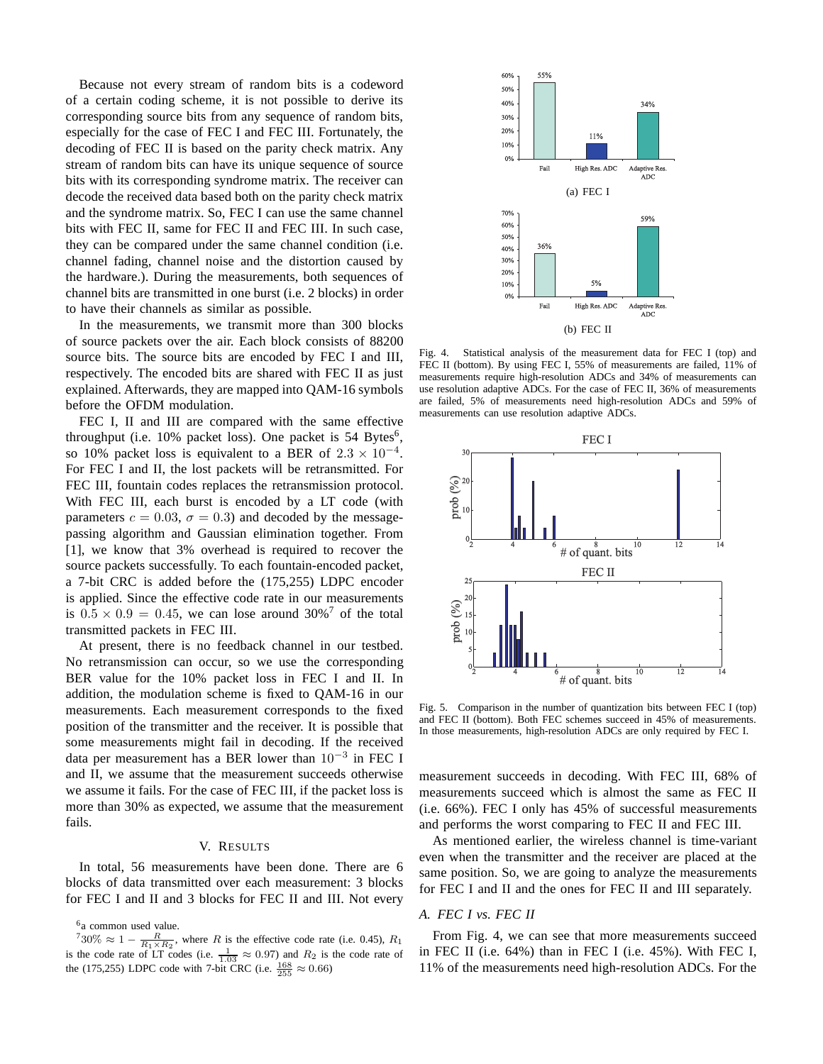Because not every stream of random bits is a codeword of a certain coding scheme, it is not possible to derive its corresponding source bits from any sequence of random bits, especially for the case of FEC I and FEC III. Fortunately, the decoding of FEC II is based on the parity check matrix. Any stream of random bits can have its unique sequence of source bits with its corresponding syndrome matrix. The receiver can decode the received data based both on the parity check matrix and the syndrome matrix. So, FEC I can use the same channel bits with FEC II, same for FEC II and FEC III. In such case, they can be compared under the same channel condition (i.e. channel fading, channel noise and the distortion caused by the hardware.). During the measurements, both sequences of channel bits are transmitted in one burst (i.e. 2 blocks) in order to have their channels as similar as possible.

In the measurements, we transmit more than 300 blocks of source packets over the air. Each block consists of 88200 source bits. The source bits are encoded by FEC I and III, respectively. The encoded bits are shared with FEC II as just explained. Afterwards, they are mapped into QAM-16 symbols before the OFDM modulation.

FEC I, II and III are compared with the same effective throughput (i.e.  $10\%$  packet loss). One packet is 54 Bytes<sup>6</sup>, so 10% packet loss is equivalent to a BER of  $2.3 \times 10^{-4}$ . For FEC I and II, the lost packets will be retransmitted. For FEC III, fountain codes replaces the retransmission protocol. With FEC III, each burst is encoded by a LT code (with parameters  $c = 0.03$ ,  $\sigma = 0.3$ ) and decoded by the messagepassing algorithm and Gaussian elimination together. From [1], we know that 3% overhead is required to recover the source packets successfully. To each fountain-encoded packet, a 7-bit CRC is added before the (175,255) LDPC encoder is applied. Since the effective code rate in our measurements is  $0.5 \times 0.9 = 0.45$ , we can lose around  $30\%$ <sup>7</sup> of the total transmitted packets in FEC III.

At present, there is no feedback channel in our testbed. No retransmission can occur, so we use the corresponding BER value for the 10% packet loss in FEC I and II. In addition, the modulation scheme is fixed to QAM-16 in our measurements. Each measurement corresponds to the fixed position of the transmitter and the receiver. It is possible that some measurements might fail in decoding. If the received data per measurement has a BER lower than  $10^{-3}$  in FEC I and II, we assume that the measurement succeeds otherwise we assume it fails. For the case of FEC III, if the packet loss is more than 30% as expected, we assume that the measurement fails.

#### V. RESULTS

In total, 56 measurements have been done. There are 6 blocks of data transmitted over each measurement: 3 blocks for FEC I and II and 3 blocks for FEC II and III. Not every

6 a common used value.



Fig. 4. Statistical analysis of the measurement data for FEC I (top) and FEC II (bottom). By using FEC I, 55% of measurements are failed, 11% of measurements require high-resolution ADCs and 34% of measurements can use resolution adaptive ADCs. For the case of FEC II, 36% of measurements are failed, 5% of measurements need high-resolution ADCs and 59% of measurements can use resolution adaptive ADCs.



Fig. 5. Comparison in the number of quantization bits between FEC I (top) and FEC II (bottom). Both FEC schemes succeed in 45% of measurements. In those measurements, high-resolution ADCs are only required by FEC I.

measurement succeeds in decoding. With FEC III, 68% of measurements succeed which is almost the same as FEC II (i.e. 66%). FEC I only has 45% of successful measurements and performs the worst comparing to FEC II and FEC III.

As mentioned earlier, the wireless channel is time-variant even when the transmitter and the receiver are placed at the same position. So, we are going to analyze the measurements for FEC I and II and the ones for FEC II and III separately.

## *A. FEC I vs. FEC II*

From Fig. 4, we can see that more measurements succeed in FEC II (i.e. 64%) than in FEC I (i.e. 45%). With FEC I, 11% of the measurements need high-resolution ADCs. For the

 $730\% \approx 1 - \frac{R}{R_1 \times R_2}$ , where R is the effective code rate (i.e. 0.45),  $R_1$ is the code rate of LT codes (i.e.  $\frac{1}{1.03} \approx 0.97$ ) and  $R_2$  is the code rate of the (175,255) LDPC code with 7-bit CRC (i.e.  $\frac{168}{255} \approx 0.66$ )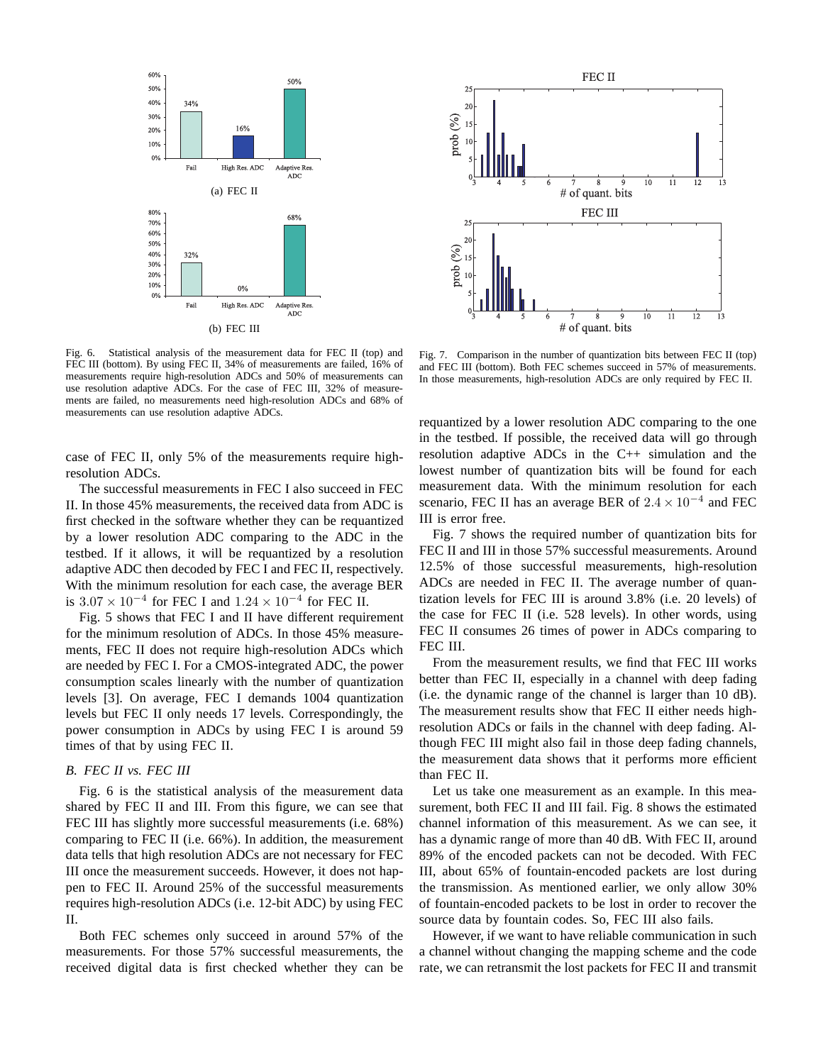

Fig. 6. Statistical analysis of the measurement data for FEC II (top) and FEC III (bottom). By using FEC II, 34% of measurements are failed, 16% of measurements require high-resolution ADCs and 50% of measurements can use resolution adaptive ADCs. For the case of FEC III, 32% of measurements are failed, no measurements need high-resolution ADCs and 68% of measurements can use resolution adaptive ADCs.

case of FEC II, only 5% of the measurements require highresolution ADCs.

The successful measurements in FEC I also succeed in FEC II. In those 45% measurements, the received data from ADC is first checked in the software whether they can be requantized by a lower resolution ADC comparing to the ADC in the testbed. If it allows, it will be requantized by a resolution adaptive ADC then decoded by FEC I and FEC II, respectively. With the minimum resolution for each case, the average BER is 3.07 × 10<sup>-4</sup> for FEC I and  $1.24 \times 10^{-4}$  for FEC II.

Fig. 5 shows that FEC I and II have different requirement for the minimum resolution of ADCs. In those 45% measurements, FEC II does not require high-resolution ADCs which are needed by FEC I. For a CMOS-integrated ADC, the power consumption scales linearly with the number of quantization levels [3]. On average, FEC I demands 1004 quantization levels but FEC II only needs 17 levels. Correspondingly, the power consumption in ADCs by using FEC I is around 59 times of that by using FEC II.

## *B. FEC II vs. FEC III*

Fig. 6 is the statistical analysis of the measurement data shared by FEC II and III. From this figure, we can see that FEC III has slightly more successful measurements (i.e. 68%) comparing to FEC II (i.e. 66%). In addition, the measurement data tells that high resolution ADCs are not necessary for FEC III once the measurement succeeds. However, it does not happen to FEC II. Around 25% of the successful measurements requires high-resolution ADCs (i.e. 12-bit ADC) by using FEC II.

Both FEC schemes only succeed in around 57% of the measurements. For those 57% successful measurements, the received digital data is first checked whether they can be



Fig. 7. Comparison in the number of quantization bits between FEC II (top) and FEC III (bottom). Both FEC schemes succeed in 57% of measurements. In those measurements, high-resolution ADCs are only required by FEC II.

requantized by a lower resolution ADC comparing to the one in the testbed. If possible, the received data will go through resolution adaptive ADCs in the C++ simulation and the lowest number of quantization bits will be found for each measurement data. With the minimum resolution for each scenario, FEC II has an average BER of  $2.4 \times 10^{-4}$  and FEC III is error free.

Fig. 7 shows the required number of quantization bits for FEC II and III in those 57% successful measurements. Around 12.5% of those successful measurements, high-resolution ADCs are needed in FEC II. The average number of quantization levels for FEC III is around 3.8% (i.e. 20 levels) of the case for FEC II (i.e. 528 levels). In other words, using FEC II consumes 26 times of power in ADCs comparing to FEC III.

From the measurement results, we find that FEC III works better than FEC II, especially in a channel with deep fading (i.e. the dynamic range of the channel is larger than 10 dB). The measurement results show that FEC II either needs highresolution ADCs or fails in the channel with deep fading. Although FEC III might also fail in those deep fading channels, the measurement data shows that it performs more efficient than FEC II.

Let us take one measurement as an example. In this measurement, both FEC II and III fail. Fig. 8 shows the estimated channel information of this measurement. As we can see, it has a dynamic range of more than 40 dB. With FEC II, around 89% of the encoded packets can not be decoded. With FEC III, about 65% of fountain-encoded packets are lost during the transmission. As mentioned earlier, we only allow 30% of fountain-encoded packets to be lost in order to recover the source data by fountain codes. So, FEC III also fails.

However, if we want to have reliable communication in such a channel without changing the mapping scheme and the code rate, we can retransmit the lost packets for FEC II and transmit